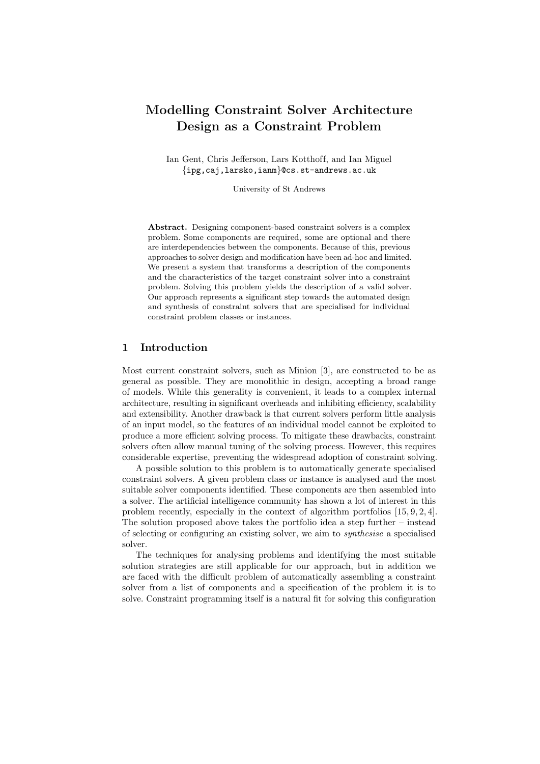# Modelling Constraint Solver Architecture Design as a Constraint Problem

Ian Gent, Chris Jefferson, Lars Kotthoff, and Ian Miguel {ipg,caj,larsko,ianm}@cs.st-andrews.ac.uk

University of St Andrews

Abstract. Designing component-based constraint solvers is a complex problem. Some components are required, some are optional and there are interdependencies between the components. Because of this, previous approaches to solver design and modification have been ad-hoc and limited. We present a system that transforms a description of the components and the characteristics of the target constraint solver into a constraint problem. Solving this problem yields the description of a valid solver. Our approach represents a significant step towards the automated design and synthesis of constraint solvers that are specialised for individual constraint problem classes or instances.

## 1 Introduction

Most current constraint solvers, such as Minion [3], are constructed to be as general as possible. They are monolithic in design, accepting a broad range of models. While this generality is convenient, it leads to a complex internal architecture, resulting in significant overheads and inhibiting efficiency, scalability and extensibility. Another drawback is that current solvers perform little analysis of an input model, so the features of an individual model cannot be exploited to produce a more efficient solving process. To mitigate these drawbacks, constraint solvers often allow manual tuning of the solving process. However, this requires considerable expertise, preventing the widespread adoption of constraint solving.

A possible solution to this problem is to automatically generate specialised constraint solvers. A given problem class or instance is analysed and the most suitable solver components identified. These components are then assembled into a solver. The artificial intelligence community has shown a lot of interest in this problem recently, especially in the context of algorithm portfolios [15, 9, 2, 4]. The solution proposed above takes the portfolio idea a step further – instead of selecting or configuring an existing solver, we aim to synthesise a specialised solver.

The techniques for analysing problems and identifying the most suitable solution strategies are still applicable for our approach, but in addition we are faced with the difficult problem of automatically assembling a constraint solver from a list of components and a specification of the problem it is to solve. Constraint programming itself is a natural fit for solving this configuration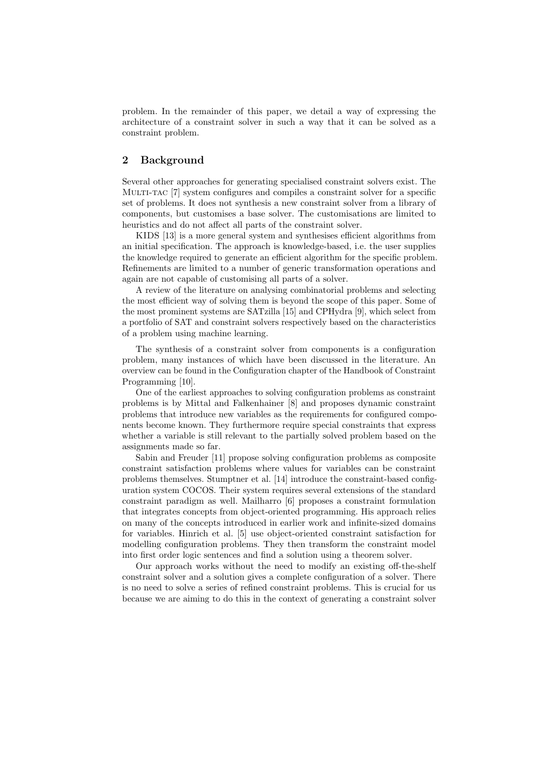problem. In the remainder of this paper, we detail a way of expressing the architecture of a constraint solver in such a way that it can be solved as a constraint problem.

## 2 Background

Several other approaches for generating specialised constraint solvers exist. The MULTI-TAC [7] system configures and compiles a constraint solver for a specific set of problems. It does not synthesis a new constraint solver from a library of components, but customises a base solver. The customisations are limited to heuristics and do not affect all parts of the constraint solver.

KIDS [13] is a more general system and synthesises efficient algorithms from an initial specification. The approach is knowledge-based, i.e. the user supplies the knowledge required to generate an efficient algorithm for the specific problem. Refinements are limited to a number of generic transformation operations and again are not capable of customising all parts of a solver.

A review of the literature on analysing combinatorial problems and selecting the most efficient way of solving them is beyond the scope of this paper. Some of the most prominent systems are SATzilla [15] and CPHydra [9], which select from a portfolio of SAT and constraint solvers respectively based on the characteristics of a problem using machine learning.

The synthesis of a constraint solver from components is a configuration problem, many instances of which have been discussed in the literature. An overview can be found in the Configuration chapter of the Handbook of Constraint Programming [10].

One of the earliest approaches to solving configuration problems as constraint problems is by Mittal and Falkenhainer [8] and proposes dynamic constraint problems that introduce new variables as the requirements for configured components become known. They furthermore require special constraints that express whether a variable is still relevant to the partially solved problem based on the assignments made so far.

Sabin and Freuder [11] propose solving configuration problems as composite constraint satisfaction problems where values for variables can be constraint problems themselves. Stumptner et al. [14] introduce the constraint-based configuration system COCOS. Their system requires several extensions of the standard constraint paradigm as well. Mailharro [6] proposes a constraint formulation that integrates concepts from object-oriented programming. His approach relies on many of the concepts introduced in earlier work and infinite-sized domains for variables. Hinrich et al. [5] use object-oriented constraint satisfaction for modelling configuration problems. They then transform the constraint model into first order logic sentences and find a solution using a theorem solver.

Our approach works without the need to modify an existing off-the-shelf constraint solver and a solution gives a complete configuration of a solver. There is no need to solve a series of refined constraint problems. This is crucial for us because we are aiming to do this in the context of generating a constraint solver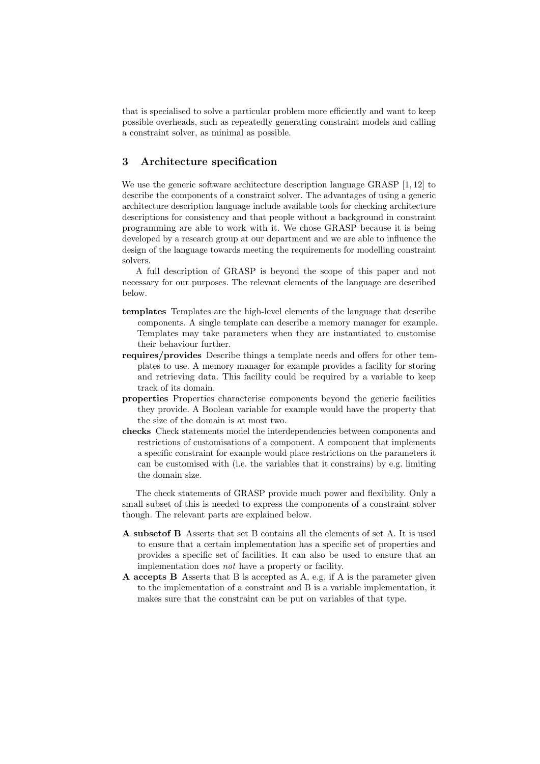that is specialised to solve a particular problem more efficiently and want to keep possible overheads, such as repeatedly generating constraint models and calling a constraint solver, as minimal as possible.

## 3 Architecture specification

We use the generic software architecture description language GRASP [1, 12] to describe the components of a constraint solver. The advantages of using a generic architecture description language include available tools for checking architecture descriptions for consistency and that people without a background in constraint programming are able to work with it. We chose GRASP because it is being developed by a research group at our department and we are able to influence the design of the language towards meeting the requirements for modelling constraint solvers.

A full description of GRASP is beyond the scope of this paper and not necessary for our purposes. The relevant elements of the language are described below.

- templates Templates are the high-level elements of the language that describe components. A single template can describe a memory manager for example. Templates may take parameters when they are instantiated to customise their behaviour further.
- requires/provides Describe things a template needs and offers for other templates to use. A memory manager for example provides a facility for storing and retrieving data. This facility could be required by a variable to keep track of its domain.
- properties Properties characterise components beyond the generic facilities they provide. A Boolean variable for example would have the property that the size of the domain is at most two.
- checks Check statements model the interdependencies between components and restrictions of customisations of a component. A component that implements a specific constraint for example would place restrictions on the parameters it can be customised with (i.e. the variables that it constrains) by e.g. limiting the domain size.

The check statements of GRASP provide much power and flexibility. Only a small subset of this is needed to express the components of a constraint solver though. The relevant parts are explained below.

- A subsetof B Asserts that set B contains all the elements of set A. It is used to ensure that a certain implementation has a specific set of properties and provides a specific set of facilities. It can also be used to ensure that an implementation does not have a property or facility.
- A accepts B Asserts that B is accepted as A, e.g. if A is the parameter given to the implementation of a constraint and B is a variable implementation, it makes sure that the constraint can be put on variables of that type.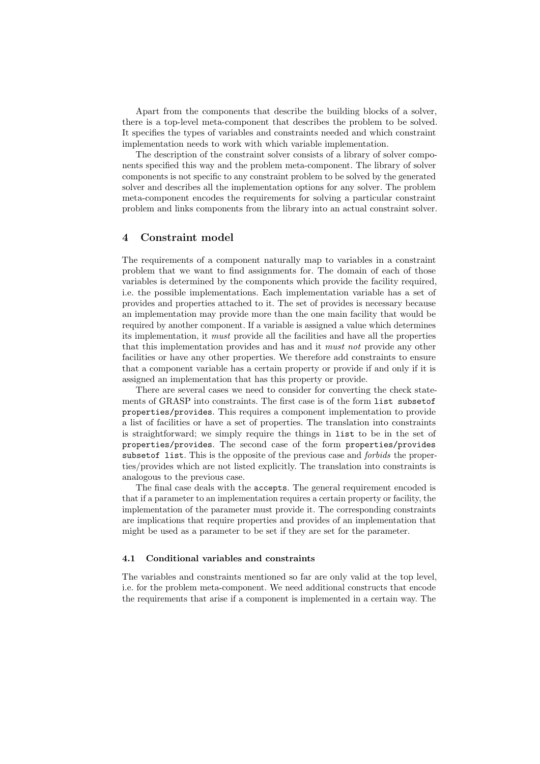Apart from the components that describe the building blocks of a solver, there is a top-level meta-component that describes the problem to be solved. It specifies the types of variables and constraints needed and which constraint implementation needs to work with which variable implementation.

The description of the constraint solver consists of a library of solver components specified this way and the problem meta-component. The library of solver components is not specific to any constraint problem to be solved by the generated solver and describes all the implementation options for any solver. The problem meta-component encodes the requirements for solving a particular constraint problem and links components from the library into an actual constraint solver.

## 4 Constraint model

The requirements of a component naturally map to variables in a constraint problem that we want to find assignments for. The domain of each of those variables is determined by the components which provide the facility required, i.e. the possible implementations. Each implementation variable has a set of provides and properties attached to it. The set of provides is necessary because an implementation may provide more than the one main facility that would be required by another component. If a variable is assigned a value which determines its implementation, it must provide all the facilities and have all the properties that this implementation provides and has and it must not provide any other facilities or have any other properties. We therefore add constraints to ensure that a component variable has a certain property or provide if and only if it is assigned an implementation that has this property or provide.

There are several cases we need to consider for converting the check statements of GRASP into constraints. The first case is of the form list subsetof properties/provides. This requires a component implementation to provide a list of facilities or have a set of properties. The translation into constraints is straightforward; we simply require the things in list to be in the set of properties/provides. The second case of the form properties/provides subset of list. This is the opposite of the previous case and *forbids* the properties/provides which are not listed explicitly. The translation into constraints is analogous to the previous case.

The final case deals with the accepts. The general requirement encoded is that if a parameter to an implementation requires a certain property or facility, the implementation of the parameter must provide it. The corresponding constraints are implications that require properties and provides of an implementation that might be used as a parameter to be set if they are set for the parameter.

#### 4.1 Conditional variables and constraints

The variables and constraints mentioned so far are only valid at the top level, i.e. for the problem meta-component. We need additional constructs that encode the requirements that arise if a component is implemented in a certain way. The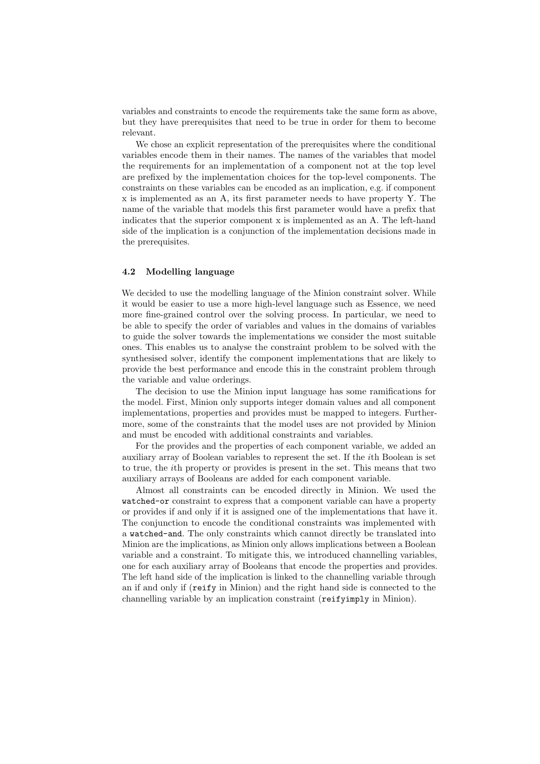variables and constraints to encode the requirements take the same form as above, but they have prerequisites that need to be true in order for them to become relevant.

We chose an explicit representation of the prerequisites where the conditional variables encode them in their names. The names of the variables that model the requirements for an implementation of a component not at the top level are prefixed by the implementation choices for the top-level components. The constraints on these variables can be encoded as an implication, e.g. if component x is implemented as an A, its first parameter needs to have property Y. The name of the variable that models this first parameter would have a prefix that indicates that the superior component x is implemented as an A. The left-hand side of the implication is a conjunction of the implementation decisions made in the prerequisites.

#### 4.2 Modelling language

We decided to use the modelling language of the Minion constraint solver. While it would be easier to use a more high-level language such as Essence, we need more fine-grained control over the solving process. In particular, we need to be able to specify the order of variables and values in the domains of variables to guide the solver towards the implementations we consider the most suitable ones. This enables us to analyse the constraint problem to be solved with the synthesised solver, identify the component implementations that are likely to provide the best performance and encode this in the constraint problem through the variable and value orderings.

The decision to use the Minion input language has some ramifications for the model. First, Minion only supports integer domain values and all component implementations, properties and provides must be mapped to integers. Furthermore, some of the constraints that the model uses are not provided by Minion and must be encoded with additional constraints and variables.

For the provides and the properties of each component variable, we added an auxiliary array of Boolean variables to represent the set. If the ith Boolean is set to true, the ith property or provides is present in the set. This means that two auxiliary arrays of Booleans are added for each component variable.

Almost all constraints can be encoded directly in Minion. We used the watched-or constraint to express that a component variable can have a property or provides if and only if it is assigned one of the implementations that have it. The conjunction to encode the conditional constraints was implemented with a watched-and. The only constraints which cannot directly be translated into Minion are the implications, as Minion only allows implications between a Boolean variable and a constraint. To mitigate this, we introduced channelling variables, one for each auxiliary array of Booleans that encode the properties and provides. The left hand side of the implication is linked to the channelling variable through an if and only if (reify in Minion) and the right hand side is connected to the channelling variable by an implication constraint (reifyimply in Minion).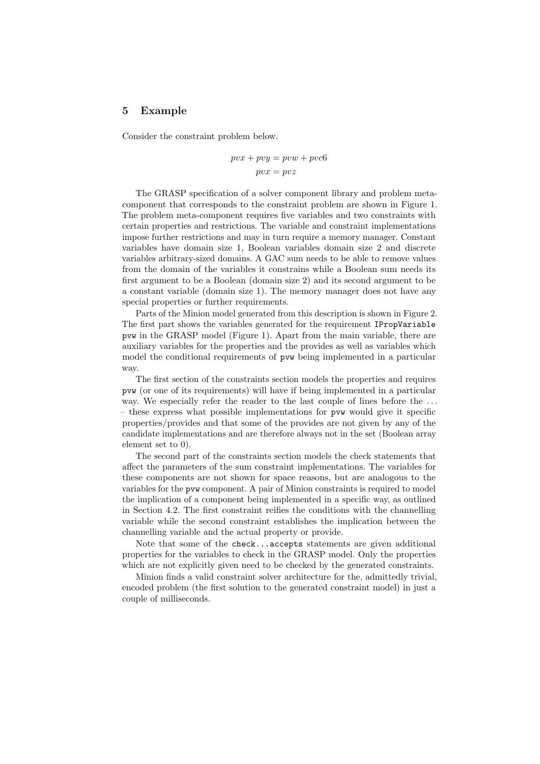## 5 Example

Consider the constraint problem below.

$$
pvx + pvy = pww + pvc6
$$

$$
pvx = pvz
$$

The GRASP specification of a solver component library and problem metacomponent that corresponds to the constraint problem are shown in Figure 1. The problem meta-component requires five variables and two constraints with certain properties and restrictions. The variable and constraint implementations impose further restrictions and may in turn require a memory manager. Constant variables have domain size 1, Boolean variables domain size 2 and discrete variables arbitrary-sized domains. A GAC sum needs to be able to remove values from the domain of the variables it constrains while a Boolean sum needs its first argument to be a Boolean (domain size 2) and its second argument to be a constant variable (domain size 1). The memory manager does not have any special properties or further requirements.

Parts of the Minion model generated from this description is shown in Figure 2. The first part shows the variables generated for the requirement IPropVariable pvw in the GRASP model (Figure 1). Apart from the main variable, there are auxiliary variables for the properties and the provides as well as variables which model the conditional requirements of pvw being implemented in a particular way.

The first section of the constraints section models the properties and requires pvw (or one of its requirements) will have if being implemented in a particular way. We especially refer the reader to the last couple of lines before the ... – these express what possible implementations for pvw would give it specific properties/provides and that some of the provides are not given by any of the candidate implementations and are therefore always not in the set (Boolean array element set to 0).

The second part of the constraints section models the check statements that affect the parameters of the sum constraint implementations. The variables for these components are not shown for space reasons, but are analogous to the variables for the pvw component. A pair of Minion constraints is required to model the implication of a component being implemented in a specific way, as outlined in Section 4.2. The first constraint reifies the conditions with the channelling variable while the second constraint establishes the implication between the channelling variable and the actual property or provide.

Note that some of the check...accepts statements are given additional properties for the variables to check in the GRASP model. Only the properties which are not explicitly given need to be checked by the generated constraints.

Minion finds a valid constraint solver architecture for the, admittedly trivial, encoded problem (the first solution to the generated constraint model) in just a couple of milliseconds.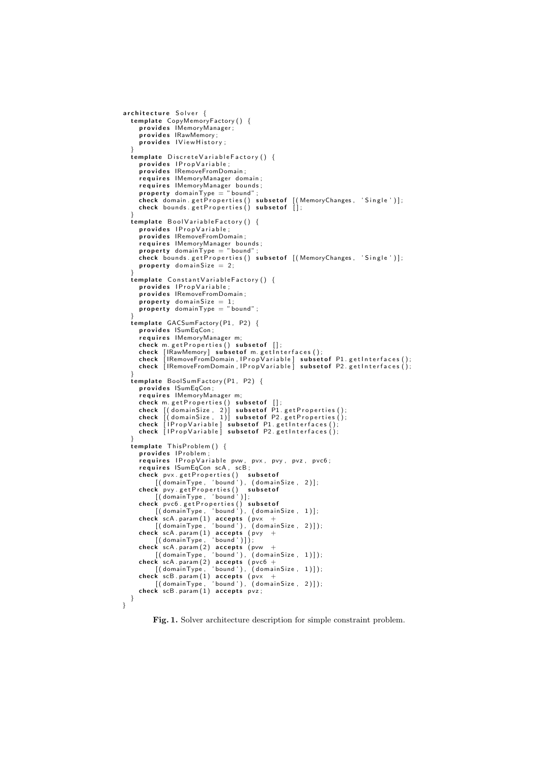```
architecture Solver {
    template CopyMemoryFactory() {<br>; provides IMemoryManager;
       provides IRawMemory;
       provides IView History;
    }
   template DiscreteVariableFactory () {
        provides IPropVariable;<br>provides IRemoveFromDomain;
        requires IMemoryManager domain;<br>requires IMemoryManager bounds;
       property domainType = "bound";
        check domain.getProperties() subsetof [(MemoryChanges, 'Single')];<br>check bounds.getProperties() subsetof [];
    }<br>template BoolVariableFactory() {
       provides IP rop Variable;
       provides IRemoveFromDomain;
        requires IMemoryManager bounds;<br>property domainType = "bound";
        check bounds.getProperties() subsetof [(MemoryChanges, 'Single')];<br>property domainSize = 2;
    }
   template Constant Variable Factory () {
       provides IP rop Variable;
       provides IRemoveFromDomain;
        property domainSize = 1;<br>property domainType = "bound";
    }<br>template GACSumFactory(P1, P2) {
       provides ISumEqCon;
       requires IMemoryManager m;
       check m. get Properties() subset of [];
        check [IRawMemory] subsetof m.getInterfaces();<br>check [IRemoveFromDomain,IPropVariable] subsetof P1.getInterfaces();<br>check [IRemoveFromDomain,IPropVariable] subsetof P2.getInterfaces();
    }
   emplate BoolSumFactory (P1, P2) {
        provides  ISumEqCon;<br>requires  IMemoryManager m;
        check m.getProperties() subsetof [];<br>check [(domainSize, 1)] subsetof P1.getProperties();<br>check [(domainSize, 1)] subsetof P2.getProperties();<br>check [IPropVariable] subsetof P1.getInterfaces();<br>check [IPropVariable] subset
    }<br>template ThisProblem() {
       provides IP roblem;
       requires IP rop Variable pvw, pvx, pvy, pvz, pvc6;
        requires ISumEqCon scA, scB;<br>check pvx.getProperties()  subsetof<br>[(domainType, 'bound'), (domainSize, 2)];
        check pvy.getProperties() subsetof<br>[(domainType, 'bound')];
       check pvc6. get Properties (i) subset of
        [(domainType, 'bound'), (domainSize, 1)];<br>check scA.param(1) accepts (pvx +<br>[(domainType, 'bound'), (domainSize, 2)]);<br>check scA.param(1) accepts (pvy +<br>[(domainType, 'bound')]);
        check scA.param(2) accepts (pvw +<br>
[(domainType, 'bound'), (domainSize, 1)]);<br>
check scA.param(2) accepts (pvc6 +<br>
[(domainType, 'bound'), (domainSize, 1)]);<br>
check scB.param(1) accepts (pvx +<br>
[(domainType, 'bound'), (dom
       check scB. param(1) accepts pvz;
}
}
```
Fig. 1. Solver architecture description for simple constraint problem.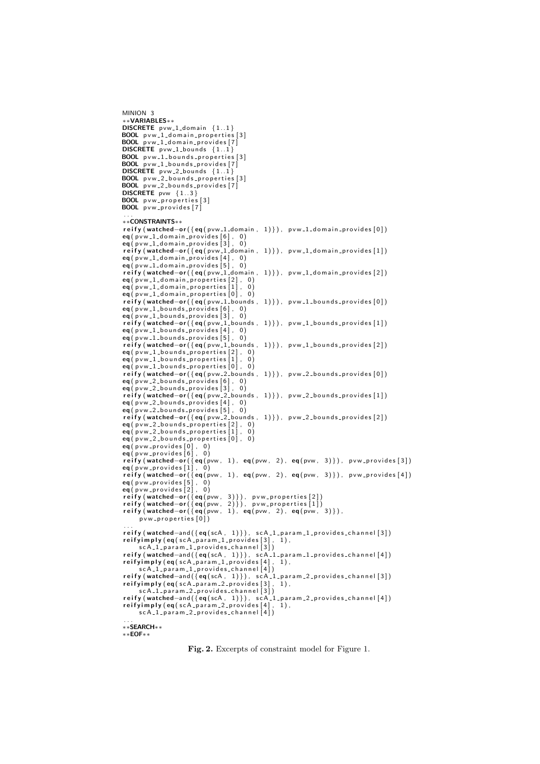```
∗∗VARIABLES∗∗
DISCRETE pvw_1_domain {1..1}<br>BOOL pvw_1_domain_properties [3]
BOOL pvw_1_domain_provides [7]
DISCRETE pvw_1_bounds \{1..1\}BOOL pvw_1_bounds_properties [3]
BOOL pvw_1_bounds_provides [7]<br>DISCRETE pvw_2_bounds {1..1}
BOOL pvw_2_bounds_properties[3]<br>BOOL pvw_2_bounds_provides[7]
DISCRETE pvw {1..3}
BOOL pvw_properties [3]
BOOL pvw<sub>-</sub>provides[7]. . .
∗∗CONSTRAINTS∗∗
reify (watched-or ({eq (pvw_1_domain, 1)}), pvw_1_domain_provides [0])
eq(pvw_1_domain_provides[6], 0)<br>eq(pvw_1_domain_provides[3], 0)
reify (watched-or ({eq (pvw_1_domain, 1)}), pvw_1_domain_provides [1])
eq(pvw_1_domain_provides[4], 0)<br>eq(pvw_1_domain_provides[5], 0)
reify (watched-or ({eq ( pvw_1_domain, 1) }), pvw_1_domain_provides [2])
eq(pvw_1_domain_properties[2], 0)eq(pvw_1_domain_properties[1], 0)eq(pvw_1_domain_properties[0], 0)reify (watched-or ({eq(pvw_1_bounds, 1)}), pvw_1_bounds_provides [0])
eq( pvw_1_bounds_provides [6], 0)
ea ( p v w_1 bounds provides \overline{31} , 0)
reify (watched-or ({eq ( pvw_1_bounds, 1) }), pvw_1_bounds_provides [1])
eq(pvw_1_bounds_provides[4], 0)eq(pvw_1_bounds_provides[5], 0)reify (watched-or ({eq (pvw_1_bounds, 1)}), pvw_1_bounds_provides [2])
eq( pvw_1_bounds_properties [2] , 0)<br>eq( pvw_1_bounds_properties [1] , 0)
eq(pvw_1_bounds_properties[0], 0)reify (watched-or ({eq(pvw_2_bounds, 1)}), pvw_2_bounds_provides [0])
eq(pvw_2_bounds_provides[6], 0)eq(pvw_2_bounds_provides[3], 0)reify (watched−or({eq(pvw_2_bounds ,  1)}),  pvw_2_bounds_provides[1])<br>eq(pvw_2_bounds_provides[4],  0)<br>eq(pvw_2_bounds_provides[5],  0)
reify (watched-or ({eq (pvw_2_bounds, 1)}), pvw_2_bounds_provides [2])
eq(pvw_2_bounds_properties [2], 0)eq(pvw_2_bounds_properties[1], 0)<br>eq(pvw_2_bounds_properties[0], 0)<br>eq(pvw_provides[0], 0)
eq( pvw_provides [6] ,  0)<br>reify (watched—or({eq(pvw,  1),  eq(pvw,  2),  eq(pvw,  3)}),  pvw_provides [3])
eq( pvw_provides [1] ,  0)<br>reify (watched—or({eq(pvw,  1),  eq(pvw,  2),  eq(pvw,  3)}),  pvw_provides [4])
eq( p v w _ p r o v i d e s [\dot{5}] , 0)
eq(pvw_provides[2], 0)<br>reify(watched−or({eq(pvw, 3)}), pvw_properties[2])<br>reify(watched−or({eq(pvw, 2)}), pvw_properties[1])
 reify (watched−or({eq(pvw, 1), eq(pvw, 2), eq(pvw, 3)}),<br>pvw_properties[0])
 ...<br>reify (watched—and({eq(scA, 1)}), scA_1_param_1_provides_channel [3])<br>reifyimply (eq(scA_param_1_provides [3], 1),
 scA_1_param_1_provides_channel [3])<br>reify (watched—and({eq(scA, 1)}), scA_1_param_1_provides_channel [4])
reifying; imply (eq (s c A) param_1-provides [4], 1),\mathsf{scA\_1\_param\_1\_provides\_channel\_[4]})reify (watched−and({eq(scA,1)}), scA_1_param_2_provides_channel[3])<br>reifyimply (eq(scA_param_2_provides[3], 1),
      sc A_1 param 2 provides channel \left[3\right])
reify (watched-and ({eq (scA, 1)}), scA_1_param_2_provides_channel [4])
 reifyimply (eq(scA_param_2_provides [4] , 1) ,<br>scA_1_param_2_provides_channel [4] )
. . .
∗∗SEARCH∗∗
∗∗EOF∗∗
```
MINION 3

Fig. 2. Excerpts of constraint model for Figure 1.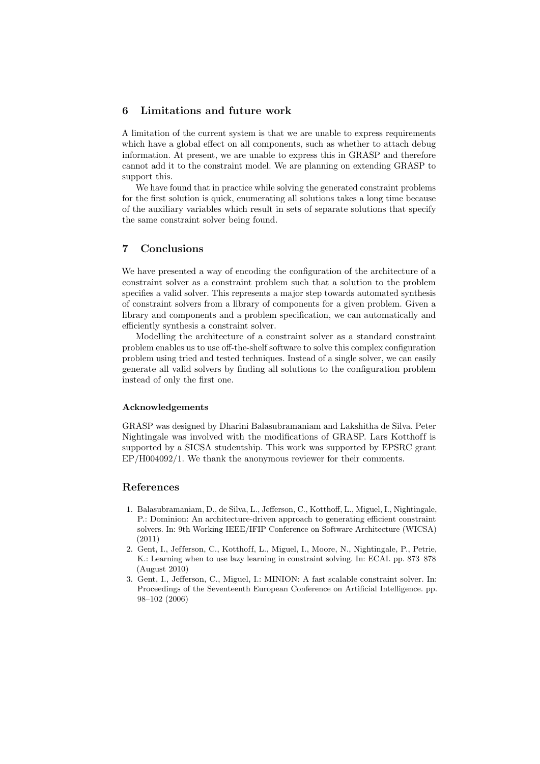## 6 Limitations and future work

A limitation of the current system is that we are unable to express requirements which have a global effect on all components, such as whether to attach debug information. At present, we are unable to express this in GRASP and therefore cannot add it to the constraint model. We are planning on extending GRASP to support this.

We have found that in practice while solving the generated constraint problems for the first solution is quick, enumerating all solutions takes a long time because of the auxiliary variables which result in sets of separate solutions that specify the same constraint solver being found.

## 7 Conclusions

We have presented a way of encoding the configuration of the architecture of a constraint solver as a constraint problem such that a solution to the problem specifies a valid solver. This represents a major step towards automated synthesis of constraint solvers from a library of components for a given problem. Given a library and components and a problem specification, we can automatically and efficiently synthesis a constraint solver.

Modelling the architecture of a constraint solver as a standard constraint problem enables us to use off-the-shelf software to solve this complex configuration problem using tried and tested techniques. Instead of a single solver, we can easily generate all valid solvers by finding all solutions to the configuration problem instead of only the first one.

#### Acknowledgements

GRASP was designed by Dharini Balasubramaniam and Lakshitha de Silva. Peter Nightingale was involved with the modifications of GRASP. Lars Kotthoff is supported by a SICSA studentship. This work was supported by EPSRC grant EP/H004092/1. We thank the anonymous reviewer for their comments.

## References

- 1. Balasubramaniam, D., de Silva, L., Jefferson, C., Kotthoff, L., Miguel, I., Nightingale, P.: Dominion: An architecture-driven approach to generating efficient constraint solvers. In: 9th Working IEEE/IFIP Conference on Software Architecture (WICSA) (2011)
- 2. Gent, I., Jefferson, C., Kotthoff, L., Miguel, I., Moore, N., Nightingale, P., Petrie, K.: Learning when to use lazy learning in constraint solving. In: ECAI. pp. 873–878 (August 2010)
- 3. Gent, I., Jefferson, C., Miguel, I.: MINION: A fast scalable constraint solver. In: Proceedings of the Seventeenth European Conference on Artificial Intelligence. pp. 98–102 (2006)